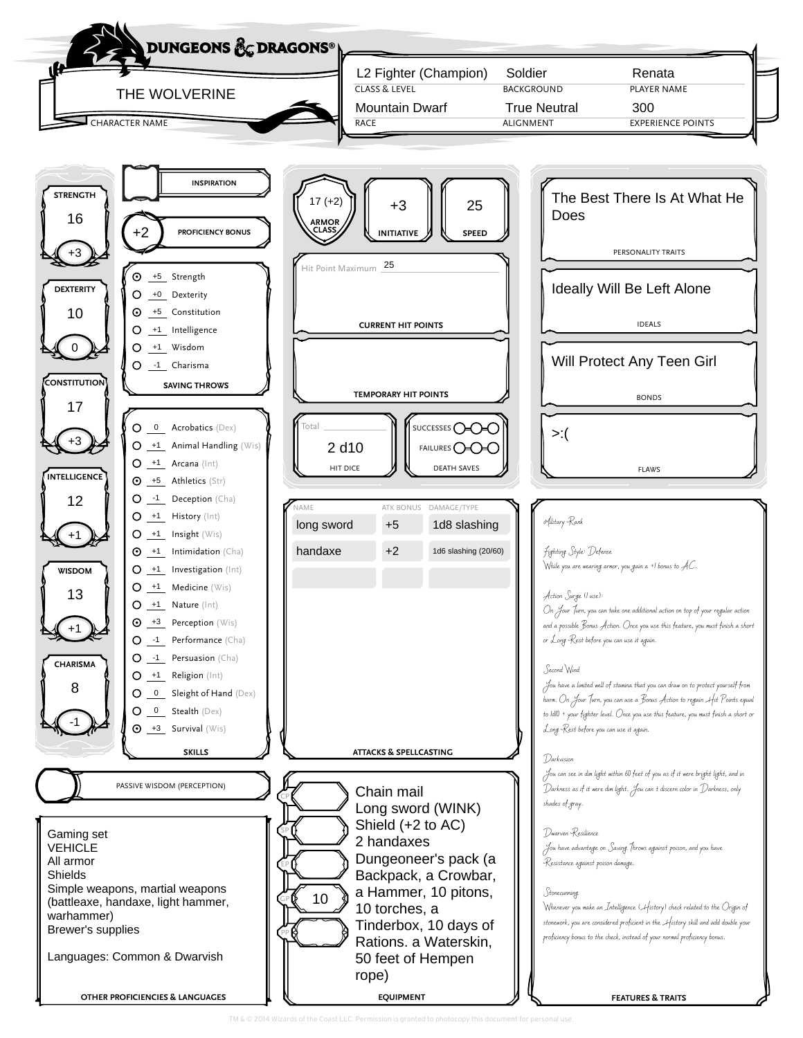

TM & © 2014 Wizards of the Coast LLC. Permission is gra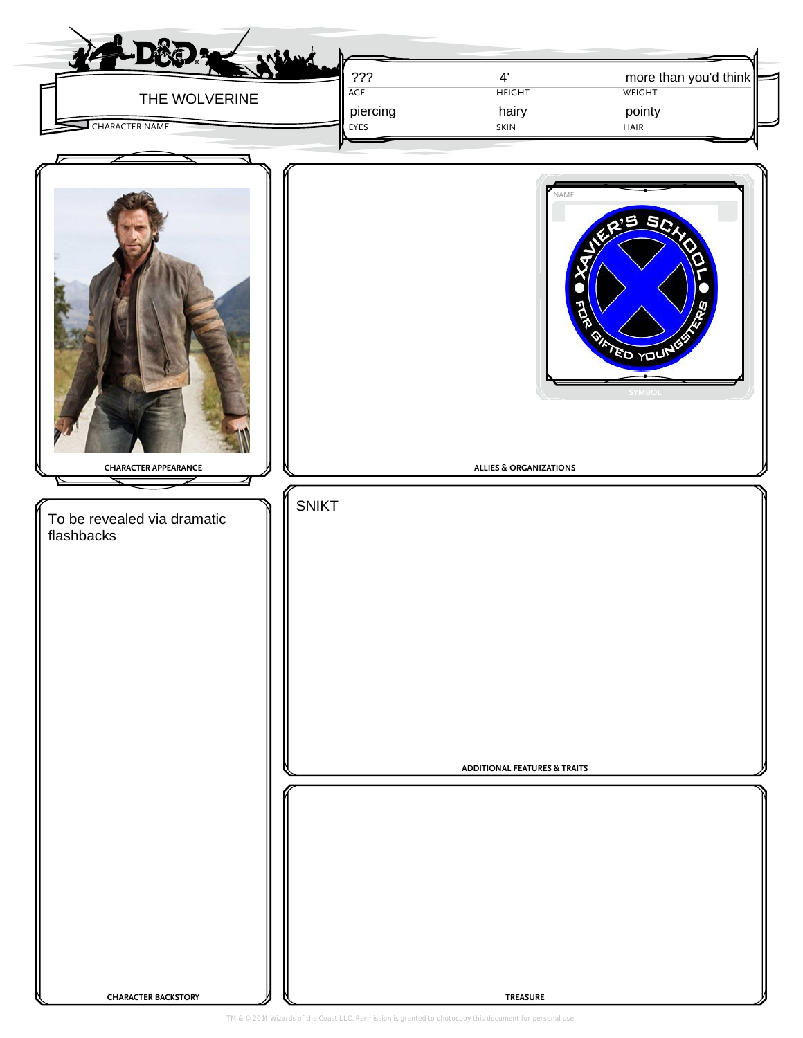